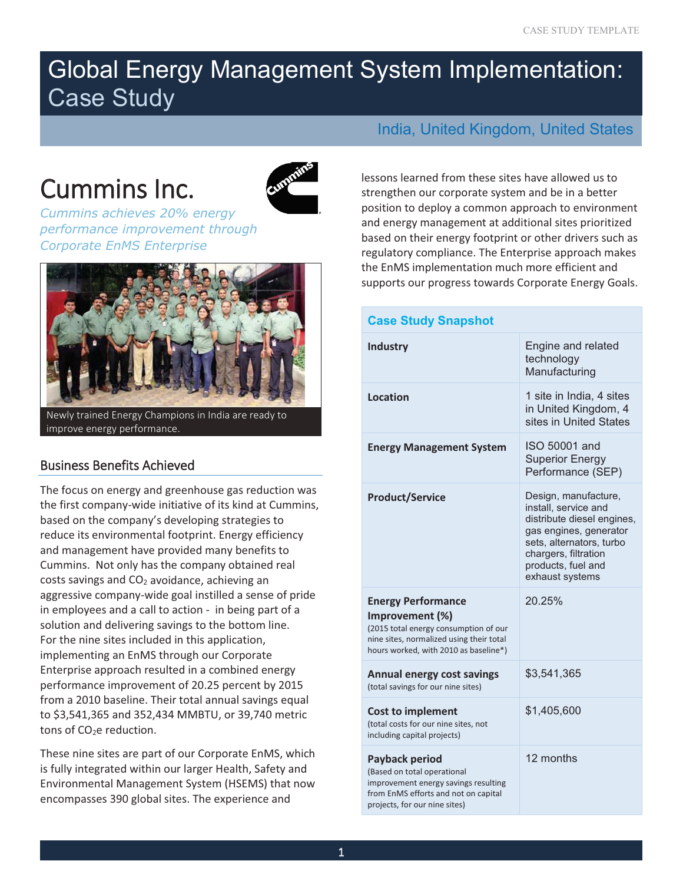# Cummins Inc.



*Cummins achieves 20% energy*  **Corporate EnMS Enterprise** *Corporate EnMS Enterprise* 



Newly trained Energy Champions in India are ready to improve energy performance.

# Business Benefits Achieved

The focus on energy and greenhouse gas reduction was the first company-wide initiative of its kind at Cummins, based on the company's developing strategies to reduce its environmental footprint. Energy efficiency and management have provided many benefits to Cummins. Not only has the company obtained real costs savings and  $CO<sub>2</sub>$  avoidance, achieving an aggressive company-wide goal instilled a sense of pride in employees and a call to action - in being part of a solution and delivering savings to the bottom line. For the nine sites included in this application, implementing an EnMS through our Corporate Enterprise approach resulted in a combined energy performance improvement of 20.25 percent by 2015 from a 2010 baseline. Their total annual savings equal to \$3,541,365 and 352,434 MMBTU, or 39,740 metric tons of CO<sub>2</sub>e reduction.

These nine sites are part of our Corporate EnMS, which is fully integrated within our larger Health, Safety and Environmental Management System (HSEMS) that now encompasses 390 global sites. The experience and

# India, United Kingdom, United States

lessons learned from these sites have allowed us to strengthen our corporate system and be in a better position to deploy a common approach to environment and energy management at additional sites prioritized based on their energy footprint or other drivers such as regulatory compliance. The Enterprise approach makes the EnMS implementation much more efficient and supports our progress towards Corporate Energy Goals.

| <b>Case Study Snapshot</b>                                                                                                                                                 |                                                                                                                                                                                                   |
|----------------------------------------------------------------------------------------------------------------------------------------------------------------------------|---------------------------------------------------------------------------------------------------------------------------------------------------------------------------------------------------|
| <b>Industry</b>                                                                                                                                                            | Engine and related<br>technology<br>Manufacturing                                                                                                                                                 |
| Location                                                                                                                                                                   | 1 site in India, 4 sites<br>in United Kingdom, 4<br>sites in United States                                                                                                                        |
| <b>Energy Management System</b>                                                                                                                                            | ISO 50001 and<br><b>Superior Energy</b><br>Performance (SEP)                                                                                                                                      |
| <b>Product/Service</b>                                                                                                                                                     | Design, manufacture,<br>install, service and<br>distribute diesel engines,<br>gas engines, generator<br>sets, alternators, turbo<br>chargers, filtration<br>products, fuel and<br>exhaust systems |
| <b>Energy Performance</b><br>Improvement (%)<br>(2015 total energy consumption of our<br>nine sites, normalized using their total<br>hours worked, with 2010 as baseline*) | 20.25%                                                                                                                                                                                            |
| <b>Annual energy cost savings</b><br>(total savings for our nine sites)                                                                                                    | \$3,541,365                                                                                                                                                                                       |
| <b>Cost to implement</b><br>(total costs for our nine sites, not<br>including capital projects)                                                                            | \$1,405,600                                                                                                                                                                                       |
| Payback period<br>(Based on total operational<br>improvement energy savings resulting<br>from EnMS efforts and not on capital<br>projects, for our nine sites)             | 12 months                                                                                                                                                                                         |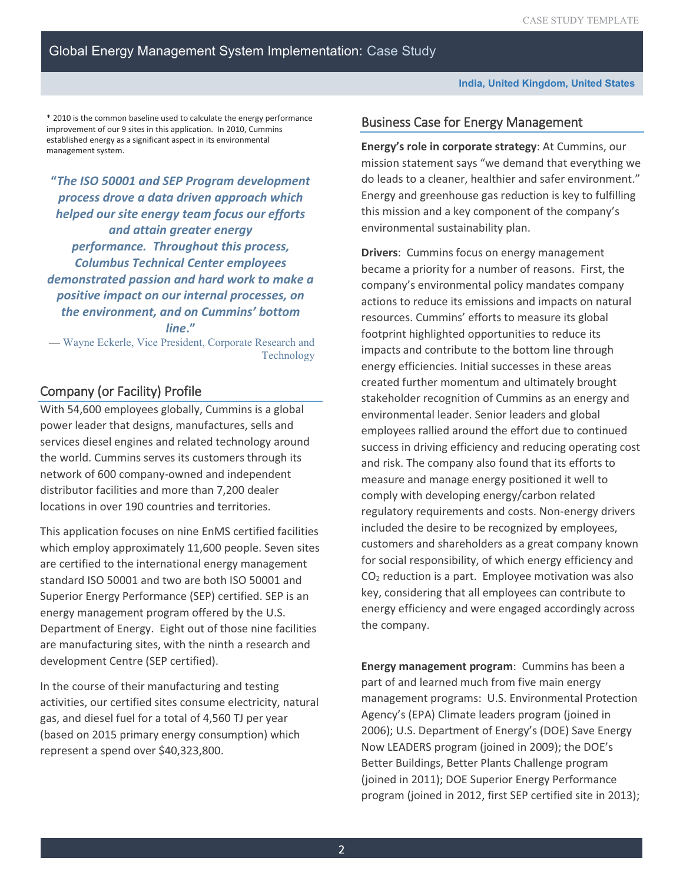\* 2010 is the common baseline used to calculate the energy performance improvement of our 9 sites in this application. In 2010, Cummins established energy as a significant aspect in its environmental management system.

 *performance. Throughout this process,* **"***The ISO 50001 and SEP Program development process drove a data driven approach which helped our site energy team focus our efforts and attain greater energy Columbus Technical Center employees demonstrated passion and hard work to make a positive impact on our internal processes, on the environment, and on Cummins' bottom line***."** 

— Wayne Eckerle, Vice President, Corporate Research and Technology

# Company (or Facility) Profile

With 54,600 employees globally, Cummins is a global power leader that designs, manufactures, sells and services diesel engines and related technology around the world. Cummins serves its customers through its network of 600 company-owned and independent distributor facilities and more than 7,200 dealer locations in over 190 countries and territories.

This application focuses on nine EnMS certified facilities which employ approximately 11,600 people. Seven sites are certified to the international energy management standard ISO 50001 and two are both ISO 50001 and Superior Energy Performance (SEP) certified. SEP is an energy management program offered by the U.S. Department of Energy. Eight out of those nine facilities are manufacturing sites, with the ninth a research and development Centre (SEP certified).

In the course of their manufacturing and testing activities, our certified sites consume electricity, natural gas, and diesel fuel for a total of 4,560 TJ per year (based on 2015 primary energy consumption) which represent a spend over \$40,323,800.

## Business Case for Energy Management

 **Energy's role in corporate strategy**: At Cummins, our mission statement says "we demand that everything we do leads to a cleaner, healthier and safer environment." Energy and greenhouse gas reduction is key to fulfilling this mission and a key component of the company's environmental sustainability plan.

 energy efficiency and were engaged accordingly across **Drivers**: Cummins focus on energy management became a priority for a number of reasons. First, the company's environmental policy mandates company actions to reduce its emissions and impacts on natural resources. Cummins' efforts to measure its global footprint highlighted opportunities to reduce its impacts and contribute to the bottom line through energy efficiencies. Initial successes in these areas created further momentum and ultimately brought stakeholder recognition of Cummins as an energy and environmental leader. Senior leaders and global employees rallied around the effort due to continued success in driving efficiency and reducing operating cost and risk. The company also found that its efforts to measure and manage energy positioned it well to comply with developing energy/carbon related regulatory requirements and costs. Non-energy drivers included the desire to be recognized by employees, customers and shareholders as a great company known for social responsibility, of which energy efficiency and  $CO<sub>2</sub>$  reduction is a part. Employee motivation was also key, considering that all employees can contribute to the company.

**Energy management program**: Cummins has been a part of and learned much from five main energy management programs: U.S. Environmental Protection Agency's (EPA) Climate leaders program (joined in 2006); U.S. Department of Energy's (DOE) Save Energy Now LEADERS program (joined in 2009); the DOE's Better Buildings, Better Plants Challenge program (joined in 2011); DOE Superior Energy Performance program (joined in 2012, first SEP certified site in 2013);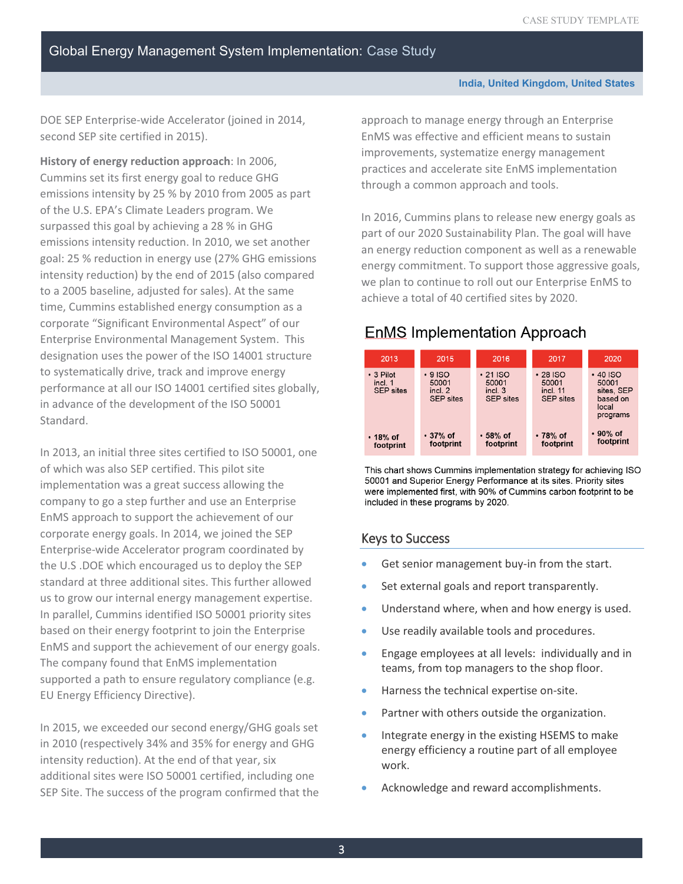DOE SEP Enterprise-wide Accelerator (joined in 2014, second SEP site certified in 2015).

 emissions intensity by 25 % by 2010 from 2005 as part **History of energy reduction approach**: In 2006, Cummins set its first energy goal to reduce GHG of the U.S. EPA's Climate Leaders program. We surpassed this goal by achieving a 28 % in GHG emissions intensity reduction. In 2010, we set another goal: 25 % reduction in energy use (27% GHG emissions intensity reduction) by the end of 2015 (also compared to a 2005 baseline, adjusted for sales). At the same time, Cummins established energy consumption as a corporate "Significant Environmental Aspect" of our Enterprise Environmental Management System. This designation uses the power of the ISO 14001 structure to systematically drive, track and improve energy performance at all our ISO 14001 certified sites globally, in advance of the development of the ISO 50001 Standard.

In 2013, an initial three sites certified to ISO 50001, one of which was also SEP certified. This pilot site implementation was a great success allowing the company to go a step further and use an Enterprise EnMS approach to support the achievement of our corporate energy goals. In 2014, we joined the SEP Enterprise-wide Accelerator program coordinated by the U.S .DOE which encouraged us to deploy the SEP standard at three additional sites. This further allowed us to grow our internal energy management expertise. In parallel, Cummins identified ISO 50001 priority sites based on their energy footprint to join the Enterprise EnMS and support the achievement of our energy goals. The company found that EnMS implementation supported a path to ensure regulatory compliance (e.g. EU Energy Efficiency Directive).

In 2015, we exceeded our second energy/GHG goals set in 2010 (respectively 34% and 35% for energy and GHG intensity reduction). At the end of that year, six additional sites were ISO 50001 certified, including one SEP Site. The success of the program confirmed that the

 practices and accelerate site EnMS implementation approach to manage energy through an Enterprise EnMS was effective and efficient means to sustain improvements, systematize energy management through a common approach and tools.

 achieve a total of 40 certified sites by 2020. In 2016, Cummins plans to release new energy goals as part of our 2020 Sustainability Plan. The goal will have an energy reduction component as well as a renewable energy commitment. To support those aggressive goals, we plan to continue to roll out our Enterprise EnMS to

# **EnMS Implementation Approach**



This chart shows Cummins implementation strategy for achieving ISO 50001 and Superior Energy Performance at its sites. Priority sites were implemented first, with 90% of Cummins carbon footprint to be included in these programs by 2020.

## Keys to Success

- Get senior management buy-in from the start.
- Set external goals and report transparently.
- Understand where, when and how energy is used.
- •Use readily available tools and procedures.
- •Engage employees at all levels: individually and in teams, from top managers to the shop floor.
- •Harness the technical expertise on-site.
- Partner with others outside the organization.
- Integrate energy in the existing HSEMS to make energy efficiency a routine part of all employee work.
- •Acknowledge and reward accomplishments.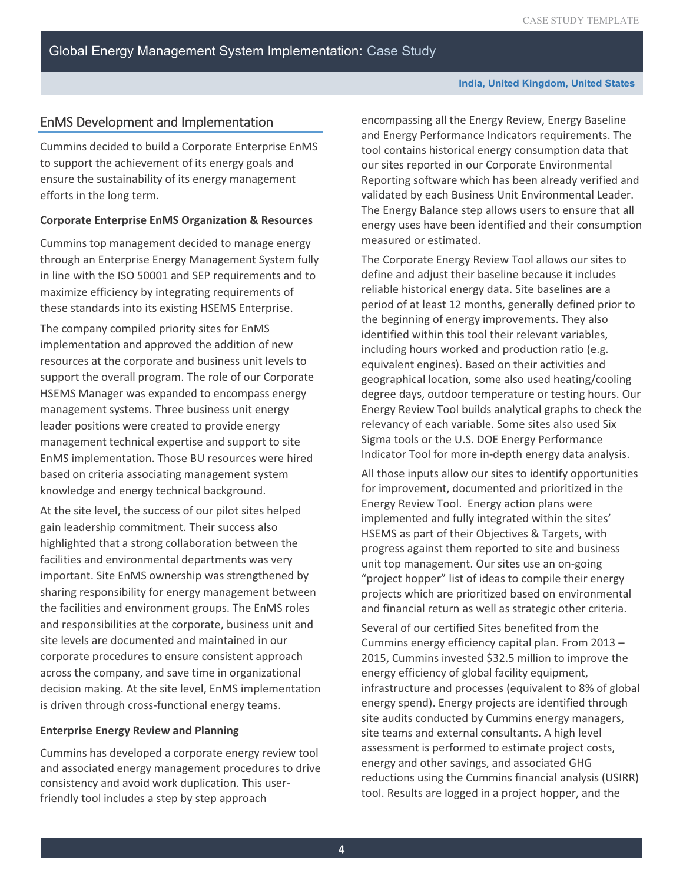## EnMS Development and Implementation

Cummins decided to build a Corporate Enterprise EnMS to support the achievement of its energy goals and ensure the sustainability of its energy management efforts in the long term.

#### **Corporate Enterprise EnMS Organization & Resources**

Cummins top management decided to manage energy through an Enterprise Energy Management System fully in line with the ISO 50001 and SEP requirements and to maximize efficiency by integrating requirements of these standards into its existing HSEMS Enterprise.

The company compiled priority sites for EnMS implementation and approved the addition of new resources at the corporate and business unit levels to support the overall program. The role of our Corporate HSEMS Manager was expanded to encompass energy management systems. Three business unit energy leader positions were created to provide energy management technical expertise and support to site EnMS implementation. Those BU resources were hired based on criteria associating management system knowledge and energy technical background.

At the site level, the success of our pilot sites helped gain leadership commitment. Their success also highlighted that a strong collaboration between the facilities and environmental departments was very important. Site EnMS ownership was strengthened by sharing responsibility for energy management between the facilities and environment groups. The EnMS roles and responsibilities at the corporate, business unit and site levels are documented and maintained in our corporate procedures to ensure consistent approach across the company, and save time in organizational decision making. At the site level, EnMS implementation is driven through cross-functional energy teams.

#### **Enterprise Energy Review and Planning**

Cummins has developed a corporate energy review tool and associated energy management procedures to drive consistency and avoid work duplication. This userfriendly tool includes a step by step approach

encompassing all the Energy Review, Energy Baseline and Energy Performance Indicators requirements. The tool contains historical energy consumption data that our sites reported in our Corporate Environmental Reporting software which has been already verified and validated by each Business Unit Environmental Leader. The Energy Balance step allows users to ensure that all energy uses have been identified and their consumption measured or estimated.

 relevancy of each variable. Some sites also used Six The Corporate Energy Review Tool allows our sites to define and adjust their baseline because it includes reliable historical energy data. Site baselines are a period of at least 12 months, generally defined prior to the beginning of energy improvements. They also identified within this tool their relevant variables, including hours worked and production ratio (e.g. equivalent engines). Based on their activities and geographical location, some also used heating/cooling degree days, outdoor temperature or testing hours. Our Energy Review Tool builds analytical graphs to check the Sigma tools or the U.S. DOE Energy Performance Indicator Tool for more in-depth energy data analysis.

All those inputs allow our sites to identify opportunities for improvement, documented and prioritized in the Energy Review Tool. Energy action plans were implemented and fully integrated within the sites' HSEMS as part of their Objectives & Targets, with progress against them reported to site and business unit top management. Our sites use an on-going "project hopper" list of ideas to compile their energy projects which are prioritized based on environmental and financial return as well as strategic other criteria.

Several of our certified Sites benefited from the Cummins energy efficiency capital plan. From 2013 – 2015, Cummins invested \$32.5 million to improve the energy efficiency of global facility equipment, infrastructure and processes (equivalent to 8% of global energy spend). Energy projects are identified through site audits conducted by Cummins energy managers, site teams and external consultants. A high level assessment is performed to estimate project costs, energy and other savings, and associated GHG reductions using the Cummins financial analysis (USIRR) tool. Results are logged in a project hopper, and the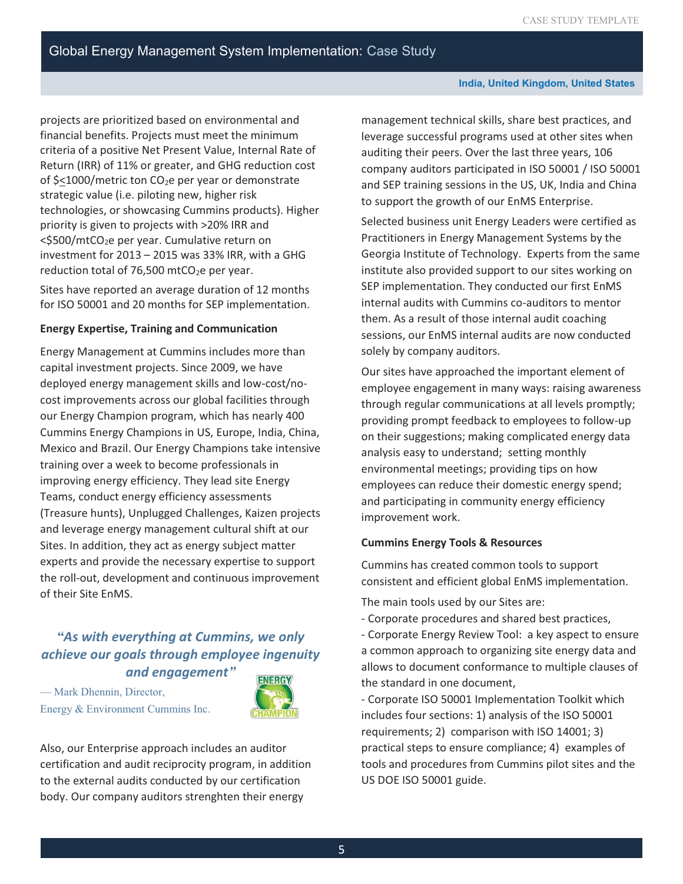**India, United Kingdom, United States** 

projects are prioritized based on environmental and financial benefits. Projects must meet the minimum criteria of a positive Net Present Value, Internal Rate of Return (IRR) of 11% or greater, and GHG reduction cost of  $\frac{2}{1000}$ /metric ton CO<sub>2</sub>e per year or demonstrate strategic value (i.e. piloting new, higher risk technologies, or showcasing Cummins products). Higher priority is given to projects with >20% IRR and  $<$ \$500/mtCO<sub>2</sub>e per year. Cumulative return on investment for 2013 – 2015 was 33% IRR, with a GHG reduction total of 76,500 mtCO<sub>2</sub>e per year.

 Sites have reported an average duration of 12 months for ISO 50001 and 20 months for SEP implementation.

### **Energy Expertise, Training and Communication**

Energy Management at Cummins includes more than capital investment projects. Since 2009, we have deployed energy management skills and low-cost/nocost improvements across our global facilities through our Energy Champion program, which has nearly 400 Cummins Energy Champions in US, Europe, India, China, Mexico and Brazil. Our Energy Champions take intensive training over a week to become professionals in improving energy efficiency. They lead site Energy Teams, conduct energy efficiency assessments (Treasure hunts), Unplugged Challenges, Kaizen projects and leverage energy management cultural shift at our Sites. In addition, they act as energy subject matter experts and provide the necessary expertise to support the roll-out, development and continuous improvement of their Site EnMS.

# *"As with everything at Cummins, we only achieve our goals through employee ingenuity and engagement"*

— Mark Dhennin, Director, Energy & Environment Cummins Inc.



Also, our Enterprise approach includes an auditor certification and audit reciprocity program, in addition to the external audits conducted by our certification body. Our company auditors strenghten their energy

 company auditors participated in ISO 50001 / ISO 50001 management technical skills, share best practices, and leverage successful programs used at other sites when auditing their peers. Over the last three years, 106 and SEP training sessions in the US, UK, India and China to support the growth of our EnMS Enterprise.

 internal audits with Cummins co-auditors to mentor Selected business unit Energy Leaders were certified as Practitioners in Energy Management Systems by the Georgia Institute of Technology. Experts from the same institute also provided support to our sites working on SEP implementation. They conducted our first EnMS them. As a result of those internal audit coaching sessions, our EnMS internal audits are now conducted solely by company auditors.

Our sites have approached the important element of employee engagement in many ways: raising awareness through regular communications at all levels promptly; providing prompt feedback to employees to follow-up on their suggestions; making complicated energy data analysis easy to understand; setting monthly environmental meetings; providing tips on how employees can reduce their domestic energy spend; and participating in community energy efficiency improvement work.

#### **Cummins Energy Tools & Resources**

Cummins has created common tools to support consistent and efficient global EnMS implementation.

The main tools used by our Sites are:

- Corporate procedures and shared best practices,

- Corporate Energy Review Tool: a key aspect to ensure a common approach to organizing site energy data and allows to document conformance to multiple clauses of the standard in one document,

- Corporate ISO 50001 Implementation Toolkit which includes four sections: 1) analysis of the ISO 50001 requirements; 2) comparison with ISO 14001; 3) practical steps to ensure compliance; 4) examples of tools and procedures from Cummins pilot sites and the US DOE ISO 50001 guide.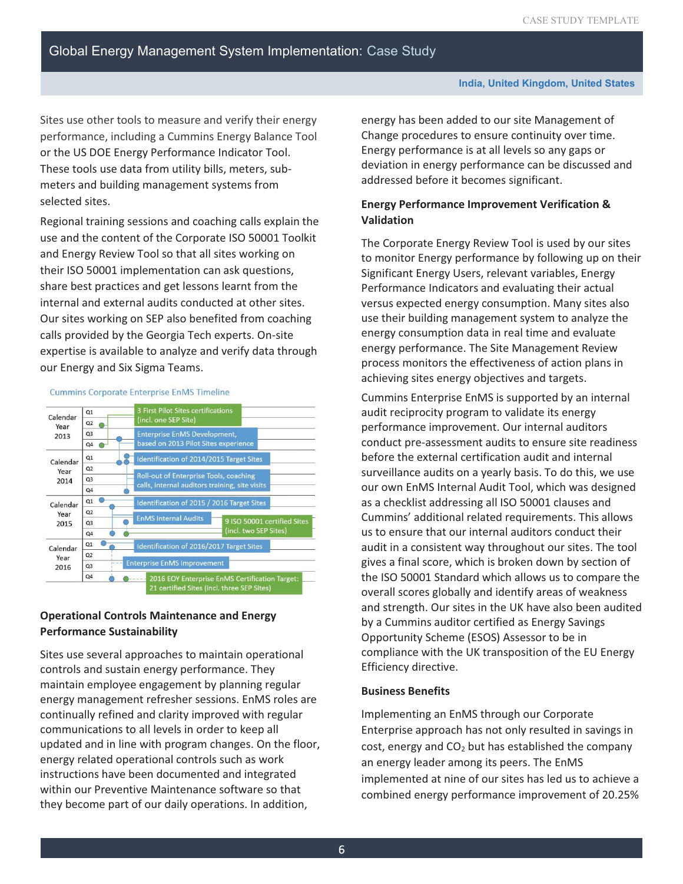Sites use other tools to measure and verify their energy performance, including a Cummins Energy Balance Tool or the US DOE Energy Performance Indicator Tool. These tools use data from utility bills, meters, submeters and building management systems from selected sites.

Regional training sessions and coaching calls explain the use and the content of the Corporate ISO 50001 Toolkit and Energy Review Tool so that all sites working on their ISO 50001 implementation can ask questions, share best practices and get lessons learnt from the internal and external audits conducted at other sites. Our sites working on SEP also benefited from coaching calls provided by the Georgia Tech experts. On-site expertise is available to analyze and verify data through our Energy and Six Sigma Teams.

#### **Cummins Corporate Enterprise EnMS Timeline**



## **Operational Controls Maintenance and Energy Performance Sustainability**

Sites use several approaches to maintain operational controls and sustain energy performance. They maintain employee engagement by planning regular energy management refresher sessions. EnMS roles are continually refined and clarity improved with regular communications to all levels in order to keep all updated and in line with program changes. On the floor, energy related operational controls such as work instructions have been documented and integrated within our Preventive Maintenance software so that they become part of our daily operations. In addition,

energy has been added to our site Management of Change procedures to ensure continuity over time. Energy performance is at all levels so any gaps or deviation in energy performance can be discussed and addressed before it becomes significant.

## **Energy Performance Improvement Verification & Validation**

 to monitor Energy performance by following up on their versus expected energy consumption. Many sites also The Corporate Energy Review Tool is used by our sites Significant Energy Users, relevant variables, Energy Performance Indicators and evaluating their actual use their building management system to analyze the energy consumption data in real time and evaluate energy performance. The Site Management Review process monitors the effectiveness of action plans in achieving sites energy objectives and targets.

 audit reciprocity program to validate its energy Cummins Enterprise EnMS is supported by an internal performance improvement. Our internal auditors conduct pre-assessment audits to ensure site readiness before the external certification audit and internal surveillance audits on a yearly basis. To do this, we use our own EnMS Internal Audit Tool, which was designed as a checklist addressing all ISO 50001 clauses and Cummins' additional related requirements. This allows us to ensure that our internal auditors conduct their audit in a consistent way throughout our sites. The tool gives a final score, which is broken down by section of the ISO 50001 Standard which allows us to compare the overall scores globally and identify areas of weakness and strength. Our sites in the UK have also been audited by a Cummins auditor certified as Energy Savings Opportunity Scheme (ESOS) Assessor to be in compliance with the UK transposition of the EU Energy Efficiency directive.

#### **Business Benefits**

Implementing an EnMS through our Corporate Enterprise approach has not only resulted in savings in cost, energy and  $CO<sub>2</sub>$  but has established the company an energy leader among its peers. The EnMS implemented at nine of our sites has led us to achieve a combined energy performance improvement of 20.25%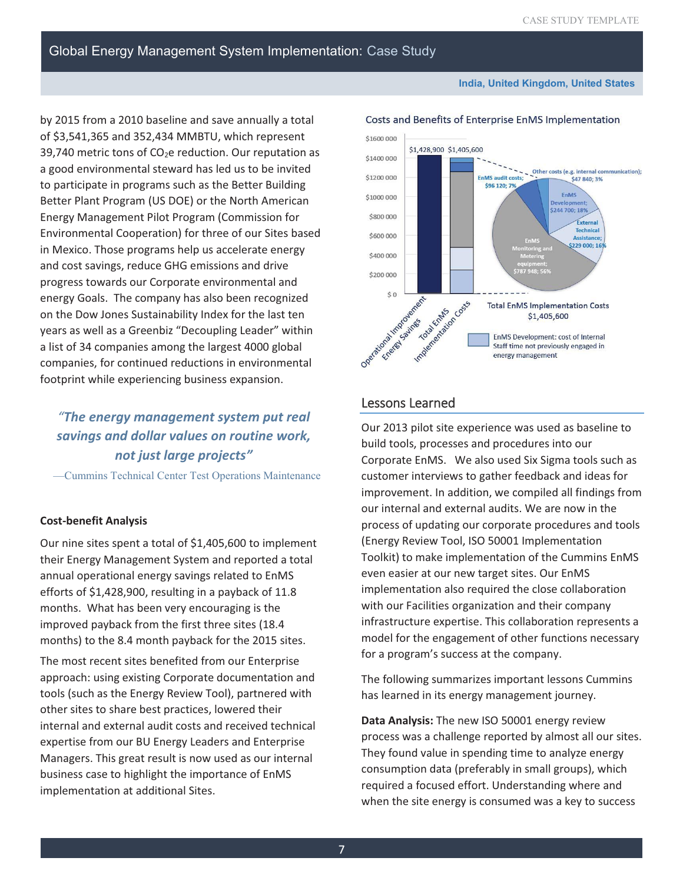**India, United Kingdom, United States** 

# Global Energy Management System Implementation: Case Study

by 2015 from a 2010 baseline and save annually a total of \$3,541,365 and 352,434 MMBTU, which represent 39,740 metric tons of  $CO<sub>2</sub>e$  reduction. Our reputation as a good environmental steward has led us to be invited to participate in programs such as the Better Building Better Plant Program (US DOE) or the North American Energy Management Pilot Program (Commission for Environmental Cooperation) for three of our Sites based in Mexico. Those programs help us accelerate energy and cost savings, reduce GHG emissions and drive progress towards our Corporate environmental and energy Goals. The company has also been recognized on the Dow Jones Sustainability Index for the last ten years as well as a Greenbiz "Decoupling Leader" within a list of 34 companies among the largest 4000 global companies, for continued reductions in environmental footprint while experiencing business expansion.

# *"The energy management system put real savings and dollar values on routine work, not just large projects"*

—Cummins Technical Center Test Operations Maintenance

#### **Cost-benefit Analysis**

Our nine sites spent a total of \$1,405,600 to implement their Energy Management System and reported a total annual operational energy savings related to EnMS efforts of \$1,428,900, resulting in a payback of 11.8 months. What has been very encouraging is the improved payback from the first three sites (18.4 months) to the 8.4 month payback for the 2015 sites.

 Managers. This great result is now used as our internal The most recent sites benefited from our Enterprise approach: using existing Corporate documentation and tools (such as the Energy Review Tool), partnered with other sites to share best practices, lowered their internal and external audit costs and received technical expertise from our BU Energy Leaders and Enterprise business case to highlight the importance of EnMS implementation at additional Sites.



#### Costs and Benefits of Enterprise EnMS Implementation

## Lessons Learned

Our 2013 pilot site experience was used as baseline to build tools, processes and procedures into our Corporate EnMS. We also used Six Sigma tools such as customer interviews to gather feedback and ideas for improvement. In addition, we compiled all findings from our internal and external audits. We are now in the process of updating our corporate procedures and tools (Energy Review Tool, ISO 50001 Implementation Toolkit) to make implementation of the Cummins EnMS even easier at our new target sites. Our EnMS implementation also required the close collaboration with our Facilities organization and their company infrastructure expertise. This collaboration represents a model for the engagement of other functions necessary for a program's success at the company.

The following summarizes important lessons Cummins has learned in its energy management journey.

**Data Analysis:** The new ISO 50001 energy review process was a challenge reported by almost all our sites. They found value in spending time to analyze energy consumption data (preferably in small groups), which required a focused effort. Understanding where and when the site energy is consumed was a key to success